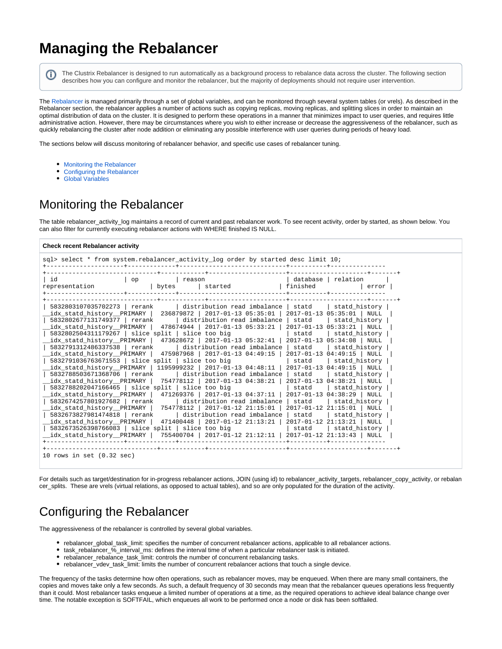# **Managing the Rebalancer**

(i)

The Clustrix Rebalancer is designed to run automatically as a background process to rebalance data across the cluster. The following section describes how you can configure and monitor the rebalancer, but the majority of deployments should not require user intervention.

The [Rebalancer](https://docs.clustrix.com/display/CLXDOC/Rebalancer) is managed primarily through a set of global variables, and can be monitored through several system tables (or vrels). As described in the Rebalancer section, the rebalancer applies a number of actions such as copying replicas, moving replicas, and splitting slices in order to maintain an optimal distribution of data on the cluster. It is designed to perform these operations in a manner that minimizes impact to user queries, and requires little administrative action. However, there may be circumstances where you wish to either increase or decrease the aggressiveness of the rebalancer, such as quickly rebalancing the cluster after node addition or eliminating any possible interference with user queries during periods of heavy load.

The sections below will discuss monitoring of rebalancer behavior, and specific use cases of rebalancer tuning.

- [Monitoring the Rebalancer](#page-0-0)
- [Configuring the Rebalancer](#page-0-1)
- [Global Variables](#page-2-0)

### <span id="page-0-0"></span>Monitoring the Rebalancer

The table rebalancer\_activity\_log maintains a record of current and past rebalancer work. To see recent activity, order by started, as shown below. You can also filter for currently executing rebalancer actions with WHERE finished IS NULL.

#### **Check recent Rebalancer activity**

|                                                                                                               |       | sql> select * from system.rebalancer activity log order by started desc limit 10;                                                                                                                                                                                                                                                                                                                                                                                                                                                                                                                                                                                                                                                                                                                                                    |                  |                                                                                                                                          |  |
|---------------------------------------------------------------------------------------------------------------|-------|--------------------------------------------------------------------------------------------------------------------------------------------------------------------------------------------------------------------------------------------------------------------------------------------------------------------------------------------------------------------------------------------------------------------------------------------------------------------------------------------------------------------------------------------------------------------------------------------------------------------------------------------------------------------------------------------------------------------------------------------------------------------------------------------------------------------------------------|------------------|------------------------------------------------------------------------------------------------------------------------------------------|--|
| id<br>$\overline{\circ}$<br>representation                                                                    | bytes | reason<br>started                                                                                                                                                                                                                                                                                                                                                                                                                                                                                                                                                                                                                                                                                                                                                                                                                    | finished         | database   relation<br>error                                                                                                             |  |
|                                                                                                               |       |                                                                                                                                                                                                                                                                                                                                                                                                                                                                                                                                                                                                                                                                                                                                                                                                                                      |                  |                                                                                                                                          |  |
| idx statd history PRIMARY  <br>5832802677131749377 crank                                                      |       | 5832803107035702273   rerank   distribution read imbalance   statd   statd history  <br>236879872   2017-01-13 05:35:01   2017-01-13 05:35:01   NULL<br>  distribution read imbalance   statd<br>idx statd history PRIMARY   478674944   2017-01-13 05:33:21   2017-01-13 05:33:21   NULL<br>$5832802504311179267$   slice split   slice too big<br>idx statd history PRIMARY   473628672   2017-01-13 05:32:41   2017-01-13 05:34:08   NULL<br>5832791312486337538   rerank   distribution read imbalance   statd<br>idx statd history PRIMARY   475987968   2017-01-13 04:49:15   2017-01-13 04:49:15   NULL<br>$5832791036763671553$ slice split slice too big<br>idx statd history PRIMARY   1195999232   2017-01-13 04:48:11   2017-01-13 04:49:15   NULL<br>5832788503671368706   rerank   distribution read imbalance   statd |                  | statd history<br>  statd   statd history<br>statd history  <br>  statd   statd history  <br>  statd history                              |  |
| 5832788202047166465   slice split   slice too big<br>5832674257801927682 rerank<br>5832673827981474818 rerank |       | idx_statd_history__PRIMARY   754778112   2017-01-13 04:38:21  <br>idx_statd_history__PRIMARY   471269376   2017-01-13 04:37:11   2017-01-13 04:38:29   NULL<br>  distribution read imbalance   statd<br>idx_statd_history__PRIMARY   754778112   2017-01-12 21:15:01  <br>  distribution read imbalance   statd<br>idx_statd_history__PRIMARY   471400448   2017-01-12 21:13:21   2017-01-12 21:13:21   NULL_<br>5832673526398766083   slice split   slice too big<br>idx statd history PRIMARY   755400704   2017-01-12 21:12:11   2017-01-12 21:13:43   NULL                                                                                                                                                                                                                                                                       | statd<br>  statd | $2017 - 01 - 13$ $04:38:21$ NULL<br>statd history<br>statd history<br>$2017 - 01 - 12$ $21:15:01$ NULL<br>statd history<br>statd history |  |
| 10 rows in set $(0.32 \text{ sec})$                                                                           |       |                                                                                                                                                                                                                                                                                                                                                                                                                                                                                                                                                                                                                                                                                                                                                                                                                                      |                  |                                                                                                                                          |  |

For details such as target/destination for in-progress rebalancer actions, JOIN (using id) to rebalancer\_activity\_targets, rebalancer\_copy\_activity, or rebalan cer\_splits. These are vrels (virtual relations, as opposed to actual tables), and so are only populated for the duration of the activity.

## <span id="page-0-1"></span>Configuring the Rebalancer

The aggressiveness of the rebalancer is controlled by several global variables.

- rebalancer qlobal task limit: specifies the number of concurrent rebalancer actions, applicable to all rebalancer actions.
- task\_rebalancer\_%\_interval\_ms: defines the interval time of when a particular rebalancer task is initiated.
- rebalancer\_rebalance\_task\_limit: controls the number of concurrent rebalancing tasks.
- rebalancer\_vdev\_task\_limit: limits the number of concurrent rebalancer actions that touch a single device.

The frequency of the tasks determine how often operations, such as rebalancer moves, may be enqueued. When there are many small containers, the copies and moves take only a few seconds. As such, a default frequency of 30 seconds may mean that the rebalancer queues operations less frequently than it could. Most rebalancer tasks enqueue a limited number of operations at a time, as the required operations to achieve ideal balance change over time. The notable exception is SOFTFAIL, which enqueues all work to be performed once a node or disk has been softfailed.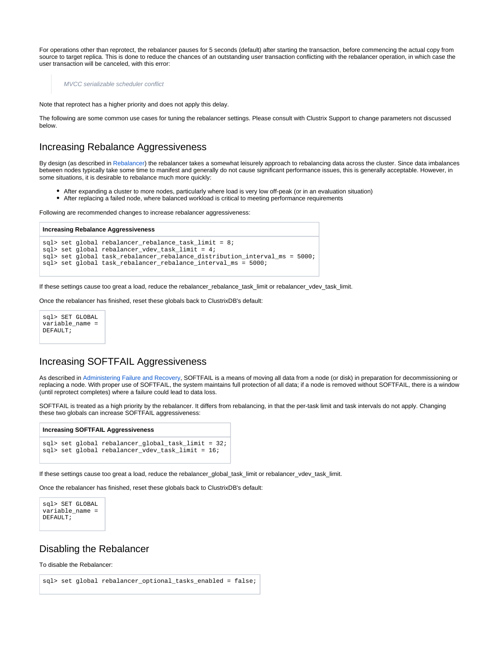For operations other than reprotect, the rebalancer pauses for 5 seconds (default) after starting the transaction, before commencing the actual copy from source to target replica. This is done to reduce the chances of an outstanding user transaction conflicting with the rebalancer operation, in which case the user transaction will be canceled, with this error:

MVCC serializable scheduler conflict

Note that reprotect has a higher priority and does not apply this delay.

The following are some common use cases for tuning the rebalancer settings. Please consult with Clustrix Support to change parameters not discussed below.

### Increasing Rebalance Aggressiveness

By design (as described in [Rebalancer](https://docs.clustrix.com/display/CLXDOC/Rebalancer)) the rebalancer takes a somewhat leisurely approach to rebalancing data across the cluster. Since data imbalances between nodes typically take some time to manifest and generally do not cause significant performance issues, this is generally acceptable. However, in some situations, it is desirable to rebalance much more quickly:

- After expanding a cluster to more nodes, particularly where load is very low off-peak (or in an evaluation situation)
- After replacing a failed node, where balanced workload is critical to meeting performance requirements

Following are recommended changes to increase rebalancer aggressiveness:

```
Increasing Rebalance Aggressiveness
sql> set qlobal rebalancer rebalance task limit = 8;sql > set global rebalancer_vdev_task_limit = 4;
sql> set global task_rebalancer_rebalance_distribution_interval_ms = 5000;
sql> set global task_rebalancer_rebalance_interval_ms = 5000;
```
If these settings cause too great a load, reduce the rebalancer\_rebalance\_task\_limit or rebalancer\_vdev\_task\_limit.

Once the rebalancer has finished, reset these globals back to ClustrixDB's default:



### Increasing SOFTFAIL Aggressiveness

As described in [Administering Failure and Recovery](https://docs.clustrix.com/display/CLXDOC/Administering+Failure+and+Recovery), SOFTFAIL is a means of moving all data from a node (or disk) in preparation for decommissioning or replacing a node. With proper use of SOFTFAIL, the system maintains full protection of all data; if a node is removed without SOFTFAIL, there is a window (until reprotect completes) where a failure could lead to data loss.

SOFTFAIL is treated as a high priority by the rebalancer. It differs from rebalancing, in that the per-task limit and task intervals do not apply. Changing these two globals can increase SOFTFAIL aggressiveness:

#### **Increasing SOFTFAIL Aggressiveness**

```
sql> set global rebalancer_global_task_limit = 32;
sql> set global rebalancer_vdev_task_limit = 16;
```
If these settings cause too great a load, reduce the rebalancer\_global\_task\_limit or rebalancer\_vdev\_task\_limit.

Once the rebalancer has finished, reset these globals back to ClustrixDB's default:



#### Disabling the Rebalancer

To disable the Rebalancer:

```
sql> set global rebalancer_optional_tasks_enabled = false;
```
⋒